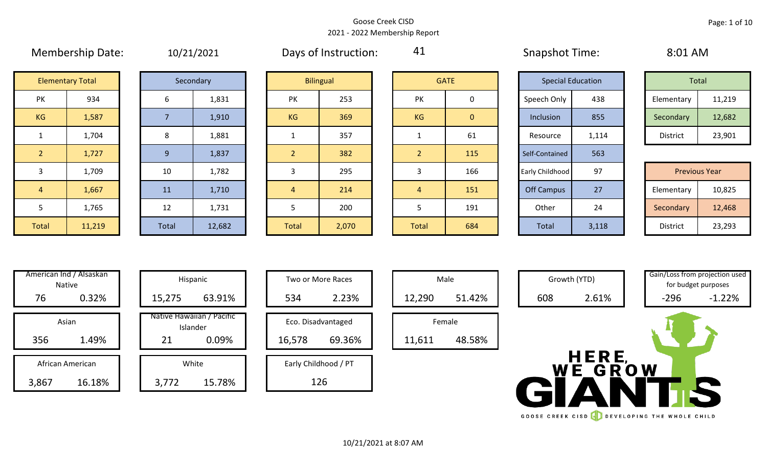#### Goose Creek CISD 2021 - 2022 Membership Report

|                | .                       | $-$            | $\overline{\phantom{a}}$ | $\sim$ $\sim$ $\sim$ |                  |                |              | .               |                          |            |                      |
|----------------|-------------------------|----------------|--------------------------|----------------------|------------------|----------------|--------------|-----------------|--------------------------|------------|----------------------|
|                | <b>Elementary Total</b> |                | Secondary                |                      | <b>Bilingual</b> |                | <b>GATE</b>  |                 | <b>Special Education</b> | Total      |                      |
| PK             | 934                     | 6              | 1,831                    | PK                   | 253              | <b>PK</b>      | $\mathbf 0$  | Speech Only     | 438                      | Elementary | 11,219               |
| KG             | 1,587                   |                | 1,910                    | <b>KG</b>            | 369              | KG             | $\mathbf{0}$ | Inclusion       | 855                      | Secondary  | 12,682               |
|                | 1,704                   | 8              | 1,881                    |                      | 357              |                | 61           | Resource        | 1,114                    | District   | 23,901               |
| $\overline{2}$ | 1,727                   | 9 <sup>°</sup> | 1,837                    |                      | 382              | $\overline{2}$ | 115          | Self-Contained  | 563                      |            |                      |
| $\overline{3}$ | 1,709                   | 10             | 1,782                    |                      | 295              | 3              | 166          | Early Childhood | 97                       |            | <b>Previous Year</b> |
| $\overline{4}$ | 1,667                   | 11             | 1,710                    | 4                    | 214              | $\overline{4}$ | 151          | Off Campus      | 27                       | Elementary | 10,825               |
| 5              | 1,765                   | 12             | 1,731                    |                      | 200              | 5              | 191          | Other           | 24                       | Secondary  | 12,468               |
| Total          | 11,219                  | Total          | 12,682                   | Total                | 2,070            | Total          | 684          | Total           | 3,118                    | District   | 23,293               |

|  | 10/21/2021 |
|--|------------|
|  |            |
|  |            |

Membership Date:  $10/21/2021$  Days of Instruction:  $41$  Snapshot Time: 8:01 AM

41

|             | <b>Special Education</b> |                 | Total  |
|-------------|--------------------------|-----------------|--------|
| Speech Only | 438                      | Elementary      | 11,219 |
| Inclusion   | 855                      | Secondary       | 12,682 |
| Resource    | 1,114                    | <b>District</b> | 23,901 |

|      | 1,709  | 10    | 1,782  |       | 295   |              | 166 | Early Childhood | 97    | <b>Previous Year</b> |        |
|------|--------|-------|--------|-------|-------|--------------|-----|-----------------|-------|----------------------|--------|
|      | 1,667  | 11    | 1,710  |       | 214   |              | 151 | Off Campus      | 27    | Elementary           | 10,825 |
|      | 1,765  | 12    | 1,731  |       | 200   |              | 191 | Other           | 24    | Secondary            | 12,468 |
| otal | 11,219 | Total | 12,682 | Total | 2,070 | <b>Total</b> | 684 | Total           | 3,118 | District             | 23,293 |

| Hispani                    | American Ind / Alsaskan<br><b>Native</b> |     |  |  |  |  |  |
|----------------------------|------------------------------------------|-----|--|--|--|--|--|
| 15,275                     | 0.32%                                    | 76  |  |  |  |  |  |
| Native Hawaiiar<br>Islande | Asian                                    |     |  |  |  |  |  |
| 21                         | 1.49%                                    | 356 |  |  |  |  |  |
| White                      | African American                         |     |  |  |  |  |  |
|                            | 16.18%<br>3.86                           |     |  |  |  |  |  |

|                  | American Ind / Alsaskan<br>Native |  |                                  | Hispanic                              |        | Two or More Races    |        | Male   |
|------------------|-----------------------------------|--|----------------------------------|---------------------------------------|--------|----------------------|--------|--------|
| 76               | 0.32%                             |  | 63.91%<br>15,275<br>534<br>2.23% |                                       | 12,290 | 51.42%               |        |        |
| Asian            |                                   |  |                                  | Native Hawaiian / Pacific<br>Islander |        | Eco. Disadvantaged   |        | Female |
| 356              | 1.49%                             |  | 21                               | 0.09%                                 | 16,578 | 69.36%               | 11,611 | 48.58% |
| African American |                                   |  |                                  | White                                 |        | Early Childhood / PT |        |        |
| 3,867            | 16.18%                            |  | 3,772                            | 15.78%                                |        | 126                  |        |        |

| Hispanic                       |  |        | Two or More Races            |        | Male   |
|--------------------------------|--|--------|------------------------------|--------|--------|
| 63.91%                         |  | 534    | 12,290                       |        |        |
| lawaiian / Pacific<br>Islander |  | 16,578 | Eco. Disadvantaged<br>69.36% | 11,611 | Female |
| 0.09%                          |  |        |                              |        |        |
| White                          |  |        | Early Childhood / PT         |        |        |
| 15.78%                         |  |        | 126                          |        |        |

| Male             |  |  |  |  |  |  |  |  |  |
|------------------|--|--|--|--|--|--|--|--|--|
| 51.42%<br>12,290 |  |  |  |  |  |  |  |  |  |
| Female           |  |  |  |  |  |  |  |  |  |
| 48.58%<br>11,611 |  |  |  |  |  |  |  |  |  |
|                  |  |  |  |  |  |  |  |  |  |



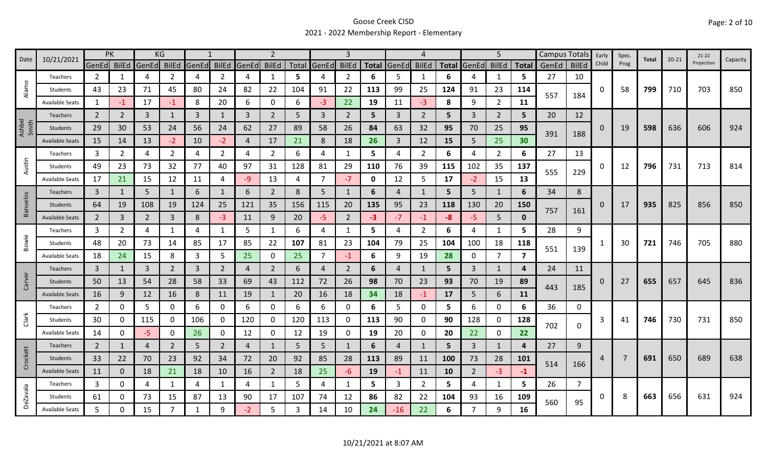# Goose Creek CISD 2021 - 2022 Membership Report - Elementary

| 10/21/2021<br>Date |                        | PK             |                | KG             |              |              |                |             |                |       |                |                |              |       |                |              |                | 5              |                | Campus Totals |              | Early    | Spec. | Total | $20 - 21$ | $21-22$    | Capacity |
|--------------------|------------------------|----------------|----------------|----------------|--------------|--------------|----------------|-------------|----------------|-------|----------------|----------------|--------------|-------|----------------|--------------|----------------|----------------|----------------|---------------|--------------|----------|-------|-------|-----------|------------|----------|
|                    |                        | GenEd          | <b>BilEd</b>   | GenEd          | <b>BilEd</b> | GenEd BilEd  |                | GenEd BilEd |                | Total | GenEd          | <b>BilEd</b>   | <b>Total</b> | GenEd | <b>BilEd</b>   | <b>Total</b> | GenEd          | <b>BilEd</b>   | <b>Total</b>   | GenEd         | <b>BilEd</b> | Child    | Prog  |       |           | Projection |          |
| $\circ$            | Teachers               | 2              | 1              | 4              | 2            | 4            | $\overline{2}$ | 4           | 1              | 5     | 4              | 2              | 6            | 5     |                | 6            | Δ              | 1              | 5              | 27            | 10           |          |       |       |           |            |          |
| Alam               | Students               | 43             | 23             | 71             | 45           | 80           | 24             | 82          | 22             | 104   | 91             | 22             | 113          | 99    | 25             | 124          | 91             | 23             | 114            | 557           | 184          | $\Omega$ | 58    | 799   | 710       | 703        | 850      |
|                    | <b>Available Seats</b> | $\mathbf{1}$   | $-1$           | 17             | -1           | 8            | 20             | 6           | 0              | 6     | $-3$           | 22             | 19           | 11    | $-3$           | 8            | 9              | $\overline{2}$ | 11             |               |              |          |       |       |           |            |          |
|                    | Teachers               | $\overline{2}$ | 2              | 3              | 1            | 3            | $\mathbf{1}$   | 3           | $\overline{2}$ | 5     | $\mathbf{3}$   | 2              | 5            | 3     | 2              | 5            | 3              | $\overline{2}$ | 5              | 20            | 12           |          |       |       |           |            |          |
| Ashbel<br>Smith    | Students               | 29             | 30             | 53             | 24           | 56           | 24             | 62          | 27             | 89    | 58             | 26             | 84           | 63    | 32             | 95           | 70             | 25             | 95             | 391           | 188          | 0        | 19    | 598   | 636       | 606        | 924      |
|                    | <b>Available Seats</b> | 15             | 14             | 13             | $-2$         | 10           | $-2$           | 4           | 17             | 21    | 8              | 18             | 26           | 3     | 12             | 15           | 5              | 25             | 30             |               |              |          |       |       |           |            |          |
|                    | Teachers               | 3              | 2              | 4              | 2            | 4            | $\overline{2}$ | 4           | $\overline{2}$ | 6     | 4              | 1              | 5            | 4     | $\overline{2}$ | 6            | 4              | $\overline{2}$ | 6              | 27            | 13           |          |       |       |           |            |          |
| Austin             | Students               | 49             | 23             | 73             | 32           | 77           | 40             | 97          | 31             | 128   | 81             | 29             | 110          | 76    | 39             | 115          | 102            | 35             | 137            |               |              | 0        | 12    | 796   | 731       | 713        | 814      |
|                    | <b>Available Seats</b> | 17             | 21             | 15             | 12           | 11           | 4              | -9          | 13             | 4     | $\overline{7}$ | $-7$           | 0            | 12    | 5              | 17           | $-2$           | 15             | 13             | 555           | 229          |          |       |       |           |            |          |
|                    | Teachers               | $\mathbf{3}$   | 1              | 5              | 1            | 6            | 1              | 6           | $\overline{2}$ | 8     | 5              | 1              | 6            | 4     | -1             | 5            | 5              | 1              | 6              | 34            | 8            |          |       |       |           |            |          |
| <b>Banuelos</b>    | Students               | 64             | 19             | 108            | 19           | 124          | 25             | 121         | 35             | 156   | 115            | 20             | 135          | 95    | 23             | 118          | 130            | 20             | 150            |               |              | 0        | 17    | 935   | 825       | 856        | 850      |
|                    | <b>Available Seats</b> | $\overline{2}$ | 3              | $\overline{2}$ | 3            | 8            | $-3$           | 11          | 9              | 20    | $-5$           | $\overline{2}$ | -3           | $-7$  | $-1$           | $-8$         | -5             | 5              | $\mathbf{0}$   | 757           | 161          |          |       |       |           |            |          |
|                    | Teachers               | 3              | $\overline{2}$ | 4              |              | 4            | $\mathbf{1}$   | 5           | $\mathbf{1}$   | 6     | 4              | $\mathbf{1}$   | 5            | 4     | $\overline{2}$ | 6            | 4              | 1              | 5              | 28            | 9            |          |       |       |           |            |          |
| Bowie              | Students               | 48             | 20             | 73             | 14           | 85           | 17             | 85          | 22             | 107   | 81             | 23             | 104          | 79    | 25             | 104          | 100            | 18             | 118            |               |              |          | 30    | 721   | 746       | 705        | 880      |
|                    | <b>Available Seats</b> | 18             | 24             | 15             | 8            | 3            | 5              | 25          | 0              | 25    | $\overline{7}$ | -1             | 6            | 9     | 19             | 28           | 0              | $\overline{7}$ | $\overline{ }$ | 551           | 139          |          |       |       |           |            |          |
|                    | <b>Teachers</b>        | 3              | 1              | 3              | 2            | 3            | $\overline{2}$ | 4           | $\overline{2}$ | 6     | 4              | $\overline{2}$ | 6            | 4     | 1              | 5            | 3              | $\mathbf{1}$   | 4              | 24            | 11           |          |       |       |           |            |          |
| Carver             | Students               | 50             | 13             | 54             | 28           | 58           | 33             | 69          | 43             | 112   | 72             | 26             | 98           | 70    | 23             | 93           | 70             | 19             | 89             |               |              | $\Omega$ | 27    | 655   | 657       | 645        | 836      |
|                    | <b>Available Seats</b> | 16             | 9              | 12             | 16           | 8            | 11             | 19          | $\mathbf{1}$   | 20    | 16             | 18             | 34           | 18    | $-1$           | 17           | 5              | $6\phantom{1}$ | 11             | 443           | 185          |          |       |       |           |            |          |
|                    | Teachers               | $\overline{2}$ | 0              | 5              | 0            | 6            | 0              | 6           | 0              | 6     | 6              | 0              | 6            | 5.    | 0              | 5            | 6              | 0              | 6              | 36            | 0            |          |       |       |           |            |          |
| Clark              | Students               | 30             | 0              | 115            | 0            | 106          | 0              | 120         | 0              | 120   | 113            | 0              | 113          | 90    | 0              | 90           | 128            | 0              | 128            |               |              | 3        | 41    | 746   | 730       | 731        | 850      |
|                    | <b>Available Seats</b> | 14             | 0              | -5             | 0            | 26           | 0              | 12          | 0              | 12    | 19             | 0              | 19           | 20    | 0              | 20           | 22             | $\mathbf 0$    | 22             | 702           | 0            |          |       |       |           |            |          |
|                    | Teachers               | 2              | $\mathbf{1}$   | $\overline{4}$ | 2            | 5            | $\overline{2}$ | 4           | $\mathbf{1}$   | 5     | 5              | $\mathbf{1}$   | 6            | 4     | $\mathbf{1}$   | 5            | 3              | $\mathbf{1}$   | 4              | 27            | 9            |          |       |       |           |            |          |
| Crockett           | Students               | 33             | 22             | 70             | 23           | 92           | 34             | 72          | 20             | 92    | 85             | 28             | 113          | 89    | 11             | 100          | 73             | 28             | 101            |               |              | 4        | 7     | 691   | 650       | 689        | 638      |
|                    | <b>Available Seats</b> | 11             | $\mathbf{0}$   | 18             | 21           | 18           | 10             | 16          | $\overline{2}$ | 18    | 25             | -6             | 19           | $-1$  | 11             | 10           | $\overline{2}$ | $-3$           | $-1$           | 514           | 166          |          |       |       |           |            |          |
|                    | Teachers               | $\mathbf{3}$   | 0              | 4              | 1            | 4            | 1              | 4           | 1              | 5     | 4              | 1              | 5            | 3     | $\overline{2}$ | 5            | 4              | 1              | 5              | 26            | 7            |          |       |       |           |            |          |
| <b>DeZavala</b>    | Students               | 61             | 0              | 73             | 15           | 87           | 13             | 90          | 17             | 107   | 74             | 12             | 86           | 82    | 22             | 104          | 93             | 16             | 109            |               |              | 0        | 8     | 663   | 656       | 631        | 924      |
|                    | Available Seats        | 5              |                | 15             |              | $\mathbf{1}$ | 9              | -2          | 5              |       | 14             | 10             | 24           | $-16$ | 22             | 6            |                | 9              | 16             | 560           | 95           |          |       |       |           |            |          |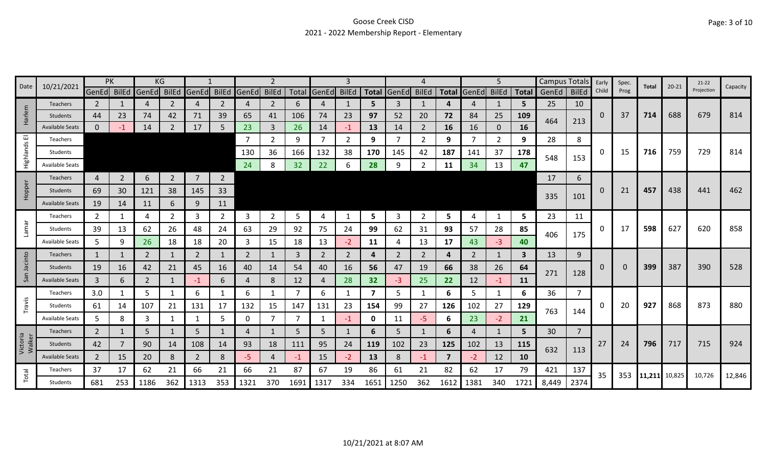# Goose Creek CISD 2021 - 2022 Membership Report - Elementary

| 10/21/2021<br>$20 - 21$<br>Date<br>Total<br>Projection<br>Child<br>Prog<br>GenEd BilEd<br>Total GenEd BilEd<br>BilEd GenEd BilEd<br><b>BilEd</b><br><b>BilEd</b><br><b>BilEd</b><br>GenEd BilEd<br>GenEd<br>Total GenEd<br><b>Total</b><br><b>Total</b><br>GenEd  <br>GenEd<br>25<br>10<br>2<br>2<br>2<br>5<br>2<br>3<br>5.<br><b>Teachers</b><br>4<br>4<br>6<br>4<br>4<br>4<br>1<br>4<br>$\mathbf{1}$<br>Harlem<br>39<br>688<br>679<br>23<br>74<br>23<br>97<br>52<br>84<br>25<br>109<br>37<br>714<br>44<br>74<br>42<br>71<br>65<br>41<br>106<br>20<br>72<br>0<br>Students<br>464<br>213<br>$\mathbf{0}$<br>14<br>17<br>5<br>23<br>3<br>26<br>14<br>13<br>2<br>16<br><b>16</b><br><b>Available Seats</b><br>14<br>16<br>0<br>-1<br>ш<br>$\overline{7}$<br>8<br>-7<br>2<br>9<br>2<br>9<br>7<br>$\overline{2}$<br>9<br>-7<br>2<br>9<br>28<br><b>Teachers</b><br>Highlands<br>729<br>759<br>716<br>36<br>166<br>132<br>38<br>170<br>145<br>42<br>187<br>141<br>37<br>178<br>0<br>15<br>130<br>Students<br>548<br>153<br>47<br>24<br>8<br>32<br>22<br>28<br>9<br>34<br>13<br>6<br>2<br><b>Available Seats</b><br>11<br>$\overline{7}$<br>$\overline{2}$<br>$\overline{2}$<br>6<br>$\overline{2}$<br>17<br>6<br>$\overline{4}$<br><b>Teachers</b><br>Hopper<br>33<br>457<br>438<br>441<br>38<br>0<br>69<br>30<br>121<br>145<br>21<br>Students<br>335<br>101<br>19<br>9<br>11<br><b>Available Seats</b><br>14<br>11<br>6<br>2<br>23<br>2<br>3<br>2<br>3<br>5<br>5.<br>3<br>$\mathbf{2}$<br>5<br>5<br>4<br>2<br>$\overline{a}$<br>4<br>-1<br>11<br>Teachers<br>Lamar<br>620<br>17<br>598<br>627<br>39<br>92<br>62<br>29<br>75<br>24<br>99<br>93<br>28<br>85<br>0<br>Students<br>13<br>26<br>48<br>24<br>63<br>62<br>31<br>57<br>406<br>175<br>5<br>9<br>26<br>18<br>18<br>20<br>15<br>18<br>13<br>13<br>17<br>40<br><b>Available Seats</b><br>3<br>11<br>43<br>$-3$<br>$-2$<br>4<br>Jacinto<br>9<br>$\overline{2}$<br>$\overline{2}$<br>$\overline{2}$<br>2<br>$\overline{2}$<br>2<br>$\mathbf{3}$<br>13<br>1<br>3<br>2<br>2<br><b>Teachers</b><br>1<br>4<br>1<br>4<br>390<br>19<br>54<br>38<br>26<br>399<br>387<br>16<br>42<br>45<br>16<br>40<br>14<br>40<br>56<br>47<br>19<br>66<br>64<br>0<br>21<br>16<br>$\Omega$<br>Students | Capacity<br>814<br>814<br>462 |
|----------------------------------------------------------------------------------------------------------------------------------------------------------------------------------------------------------------------------------------------------------------------------------------------------------------------------------------------------------------------------------------------------------------------------------------------------------------------------------------------------------------------------------------------------------------------------------------------------------------------------------------------------------------------------------------------------------------------------------------------------------------------------------------------------------------------------------------------------------------------------------------------------------------------------------------------------------------------------------------------------------------------------------------------------------------------------------------------------------------------------------------------------------------------------------------------------------------------------------------------------------------------------------------------------------------------------------------------------------------------------------------------------------------------------------------------------------------------------------------------------------------------------------------------------------------------------------------------------------------------------------------------------------------------------------------------------------------------------------------------------------------------------------------------------------------------------------------------------------------------------------------------------------------------------------------------------------------------------------------------------------------------------------------------------------------------------------------------------------------------------------------------------------------------------------------------------------------------------|-------------------------------|
|                                                                                                                                                                                                                                                                                                                                                                                                                                                                                                                                                                                                                                                                                                                                                                                                                                                                                                                                                                                                                                                                                                                                                                                                                                                                                                                                                                                                                                                                                                                                                                                                                                                                                                                                                                                                                                                                                                                                                                                                                                                                                                                                                                                                                            |                               |
|                                                                                                                                                                                                                                                                                                                                                                                                                                                                                                                                                                                                                                                                                                                                                                                                                                                                                                                                                                                                                                                                                                                                                                                                                                                                                                                                                                                                                                                                                                                                                                                                                                                                                                                                                                                                                                                                                                                                                                                                                                                                                                                                                                                                                            |                               |
|                                                                                                                                                                                                                                                                                                                                                                                                                                                                                                                                                                                                                                                                                                                                                                                                                                                                                                                                                                                                                                                                                                                                                                                                                                                                                                                                                                                                                                                                                                                                                                                                                                                                                                                                                                                                                                                                                                                                                                                                                                                                                                                                                                                                                            |                               |
|                                                                                                                                                                                                                                                                                                                                                                                                                                                                                                                                                                                                                                                                                                                                                                                                                                                                                                                                                                                                                                                                                                                                                                                                                                                                                                                                                                                                                                                                                                                                                                                                                                                                                                                                                                                                                                                                                                                                                                                                                                                                                                                                                                                                                            |                               |
|                                                                                                                                                                                                                                                                                                                                                                                                                                                                                                                                                                                                                                                                                                                                                                                                                                                                                                                                                                                                                                                                                                                                                                                                                                                                                                                                                                                                                                                                                                                                                                                                                                                                                                                                                                                                                                                                                                                                                                                                                                                                                                                                                                                                                            |                               |
|                                                                                                                                                                                                                                                                                                                                                                                                                                                                                                                                                                                                                                                                                                                                                                                                                                                                                                                                                                                                                                                                                                                                                                                                                                                                                                                                                                                                                                                                                                                                                                                                                                                                                                                                                                                                                                                                                                                                                                                                                                                                                                                                                                                                                            |                               |
|                                                                                                                                                                                                                                                                                                                                                                                                                                                                                                                                                                                                                                                                                                                                                                                                                                                                                                                                                                                                                                                                                                                                                                                                                                                                                                                                                                                                                                                                                                                                                                                                                                                                                                                                                                                                                                                                                                                                                                                                                                                                                                                                                                                                                            |                               |
|                                                                                                                                                                                                                                                                                                                                                                                                                                                                                                                                                                                                                                                                                                                                                                                                                                                                                                                                                                                                                                                                                                                                                                                                                                                                                                                                                                                                                                                                                                                                                                                                                                                                                                                                                                                                                                                                                                                                                                                                                                                                                                                                                                                                                            |                               |
|                                                                                                                                                                                                                                                                                                                                                                                                                                                                                                                                                                                                                                                                                                                                                                                                                                                                                                                                                                                                                                                                                                                                                                                                                                                                                                                                                                                                                                                                                                                                                                                                                                                                                                                                                                                                                                                                                                                                                                                                                                                                                                                                                                                                                            |                               |
|                                                                                                                                                                                                                                                                                                                                                                                                                                                                                                                                                                                                                                                                                                                                                                                                                                                                                                                                                                                                                                                                                                                                                                                                                                                                                                                                                                                                                                                                                                                                                                                                                                                                                                                                                                                                                                                                                                                                                                                                                                                                                                                                                                                                                            |                               |
|                                                                                                                                                                                                                                                                                                                                                                                                                                                                                                                                                                                                                                                                                                                                                                                                                                                                                                                                                                                                                                                                                                                                                                                                                                                                                                                                                                                                                                                                                                                                                                                                                                                                                                                                                                                                                                                                                                                                                                                                                                                                                                                                                                                                                            |                               |
|                                                                                                                                                                                                                                                                                                                                                                                                                                                                                                                                                                                                                                                                                                                                                                                                                                                                                                                                                                                                                                                                                                                                                                                                                                                                                                                                                                                                                                                                                                                                                                                                                                                                                                                                                                                                                                                                                                                                                                                                                                                                                                                                                                                                                            | 858                           |
|                                                                                                                                                                                                                                                                                                                                                                                                                                                                                                                                                                                                                                                                                                                                                                                                                                                                                                                                                                                                                                                                                                                                                                                                                                                                                                                                                                                                                                                                                                                                                                                                                                                                                                                                                                                                                                                                                                                                                                                                                                                                                                                                                                                                                            |                               |
|                                                                                                                                                                                                                                                                                                                                                                                                                                                                                                                                                                                                                                                                                                                                                                                                                                                                                                                                                                                                                                                                                                                                                                                                                                                                                                                                                                                                                                                                                                                                                                                                                                                                                                                                                                                                                                                                                                                                                                                                                                                                                                                                                                                                                            |                               |
|                                                                                                                                                                                                                                                                                                                                                                                                                                                                                                                                                                                                                                                                                                                                                                                                                                                                                                                                                                                                                                                                                                                                                                                                                                                                                                                                                                                                                                                                                                                                                                                                                                                                                                                                                                                                                                                                                                                                                                                                                                                                                                                                                                                                                            | 528                           |
| 271<br>128<br>San<br>3<br>$\overline{2}$<br>6<br>8<br>28<br>32<br>25<br>22<br>12<br>6<br>12<br>$-3$<br><b>11</b><br>$-1$<br>4<br>$-1$<br><b>Available Seats</b><br>4                                                                                                                                                                                                                                                                                                                                                                                                                                                                                                                                                                                                                                                                                                                                                                                                                                                                                                                                                                                                                                                                                                                                                                                                                                                                                                                                                                                                                                                                                                                                                                                                                                                                                                                                                                                                                                                                                                                                                                                                                                                       |                               |
| 5<br>6<br>6<br>7<br>5<br>36<br>3.0<br>6<br>7<br>5<br>6<br>6<br>7<br>1<br>1<br>Teachers<br>1                                                                                                                                                                                                                                                                                                                                                                                                                                                                                                                                                                                                                                                                                                                                                                                                                                                                                                                                                                                                                                                                                                                                                                                                                                                                                                                                                                                                                                                                                                                                                                                                                                                                                                                                                                                                                                                                                                                                                                                                                                                                                                                                |                               |
| Travis<br>873<br>20<br>927<br>868<br>61<br>107<br>131<br>132<br>15<br>131<br>23<br>154<br>99<br>126<br>102<br>27<br>129<br>$\Omega$<br>14<br>21<br>17<br>147<br>27<br>Students                                                                                                                                                                                                                                                                                                                                                                                                                                                                                                                                                                                                                                                                                                                                                                                                                                                                                                                                                                                                                                                                                                                                                                                                                                                                                                                                                                                                                                                                                                                                                                                                                                                                                                                                                                                                                                                                                                                                                                                                                                             | 880                           |
| 763<br>144<br>5<br>3<br>$5\phantom{.}$<br>$\overline{7}$<br>21<br>8<br>0<br>$\overline{7}$<br>$-5$<br>23<br>1<br>$\mathbf{0}$<br>6<br>$-2$<br><b>Available Seats</b><br>1<br>11<br>$-1$                                                                                                                                                                                                                                                                                                                                                                                                                                                                                                                                                                                                                                                                                                                                                                                                                                                                                                                                                                                                                                                                                                                                                                                                                                                                                                                                                                                                                                                                                                                                                                                                                                                                                                                                                                                                                                                                                                                                                                                                                                    |                               |
| 5<br>$\overline{2}$<br>5<br>5<br>30<br>$\overline{7}$<br>6<br>5<br>$\mathbf{1}$<br>5<br>5<br>1<br>6<br>$\mathbf{1}$<br>4<br>4<br>Teachers                                                                                                                                                                                                                                                                                                                                                                                                                                                                                                                                                                                                                                                                                                                                                                                                                                                                                                                                                                                                                                                                                                                                                                                                                                                                                                                                                                                                                                                                                                                                                                                                                                                                                                                                                                                                                                                                                                                                                                                                                                                                                  |                               |
| Victoria<br>Walker<br>27<br>796<br>108<br>95<br>102<br>717<br>715<br>42<br>90<br>93<br>18<br>111<br>24<br>119<br>102<br>23<br>125<br>13<br>24<br>14<br>115<br>14<br>Students                                                                                                                                                                                                                                                                                                                                                                                                                                                                                                                                                                                                                                                                                                                                                                                                                                                                                                                                                                                                                                                                                                                                                                                                                                                                                                                                                                                                                                                                                                                                                                                                                                                                                                                                                                                                                                                                                                                                                                                                                                               | 924                           |
| 632<br>113<br>8<br>12<br>10<br>$\overline{2}$<br>20<br>8<br>$\overline{2}$<br>15<br>13<br>8<br>$\overline{ }$<br>$-2$<br>15<br>-5<br>$-2$<br>$-1$<br>4<br>$-1$<br><b>Available Seats</b>                                                                                                                                                                                                                                                                                                                                                                                                                                                                                                                                                                                                                                                                                                                                                                                                                                                                                                                                                                                                                                                                                                                                                                                                                                                                                                                                                                                                                                                                                                                                                                                                                                                                                                                                                                                                                                                                                                                                                                                                                                   |                               |
| 79<br>37<br>21<br>87<br>67<br>19<br>86<br>21<br>82<br>62<br>17<br>421<br>137<br>17<br>62<br>21<br>66<br>21<br>66<br>61<br>Teachers                                                                                                                                                                                                                                                                                                                                                                                                                                                                                                                                                                                                                                                                                                                                                                                                                                                                                                                                                                                                                                                                                                                                                                                                                                                                                                                                                                                                                                                                                                                                                                                                                                                                                                                                                                                                                                                                                                                                                                                                                                                                                         |                               |
| Total<br>35<br>353<br>10,726<br>11,211<br>10,825<br>1313<br>1691<br>334<br>362<br>8,449<br>2374<br>681<br>253<br>1186<br>362<br>353<br>1321<br>370<br>1317<br>1651<br>1250<br>1612<br>1381<br>340<br>1721<br>Students                                                                                                                                                                                                                                                                                                                                                                                                                                                                                                                                                                                                                                                                                                                                                                                                                                                                                                                                                                                                                                                                                                                                                                                                                                                                                                                                                                                                                                                                                                                                                                                                                                                                                                                                                                                                                                                                                                                                                                                                      | 12,846                        |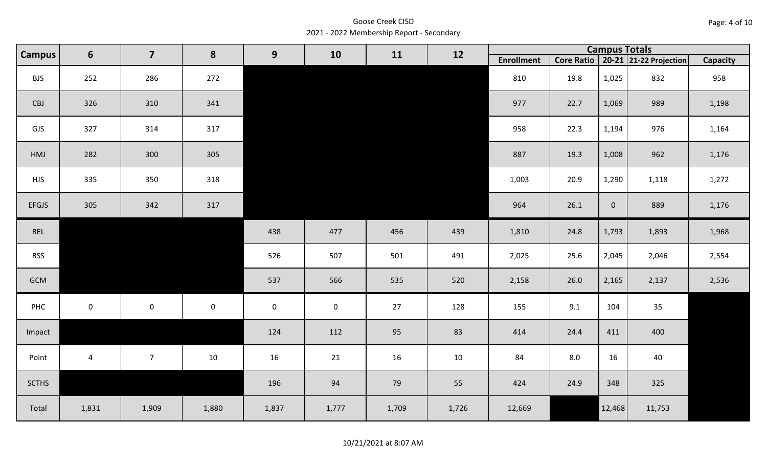Goose Creek CISD 2021 - 2022 Membership Report - Secondary

| Campus       | $6\phantom{1}6$ | $\overline{\mathbf{z}}$ | 8         | $\boldsymbol{9}$    | 10          | 11    | 12    |                   |         | <b>Campus Totals</b> |                                       |                 |
|--------------|-----------------|-------------------------|-----------|---------------------|-------------|-------|-------|-------------------|---------|----------------------|---------------------------------------|-----------------|
|              |                 |                         |           |                     |             |       |       | <b>Enrollment</b> |         |                      | Core Ratio   20-21   21-22 Projection | <b>Capacity</b> |
| <b>BJS</b>   | 252             | 286                     | 272       |                     |             |       |       | 810               | 19.8    | 1,025                | 832                                   | 958             |
| CBJ          | 326             | 310                     | 341       |                     |             |       |       | 977               | 22.7    | 1,069                | 989                                   | 1,198           |
| GJS          | 327             | 314                     | 317       |                     |             |       |       | 958               | 22.3    | 1,194                | 976                                   | 1,164           |
| HMJ          | 282             | 300                     | 305       |                     |             |       |       | 887               | 19.3    | 1,008                | 962                                   | 1,176           |
| <b>HJS</b>   | 335             | 350                     | 318       |                     |             |       |       | 1,003             | 20.9    | 1,290                | 1,118                                 | 1,272           |
| <b>EFGJS</b> | 305             | 342                     | 317       |                     |             |       |       | 964               | 26.1    | $\overline{0}$       | 889                                   | 1,176           |
| REL          |                 |                         |           | 438                 | 477         | 456   | 439   | 1,810             | 24.8    | 1,793                | 1,893                                 | 1,968           |
| <b>RSS</b>   |                 |                         |           | 526                 | 507         | 501   | 491   | 2,025             | 25.6    | 2,045                | 2,046                                 | 2,554           |
| GCM          |                 |                         |           | 537                 | 566         | 535   | 520   | 2,158             | 26.0    | 2,165                | 2,137                                 | 2,536           |
| PHC          | $\pmb{0}$       | $\mathsf{O}$            | $\pmb{0}$ | $\mathsf{O}\xspace$ | $\mathbf 0$ | 27    | 128   | 155               | 9.1     | 104                  | 35                                    |                 |
| Impact       |                 |                         |           | 124                 | 112         | 95    | 83    | 414               | 24.4    | 411                  | 400                                   |                 |
| Point        | $\overline{4}$  | $\overline{7}$          | 10        | 16                  | 21          | 16    | 10    | 84                | $8.0\,$ | 16                   | 40                                    |                 |
| <b>SCTHS</b> |                 |                         |           | 196                 | 94          | 79    | 55    | 424               | 24.9    | 348                  | 325                                   |                 |
| Total        | 1,831           | 1,909                   | 1,880     | 1,837               | 1,777       | 1,709 | 1,726 | 12,669            |         | 12,468               | 11,753                                |                 |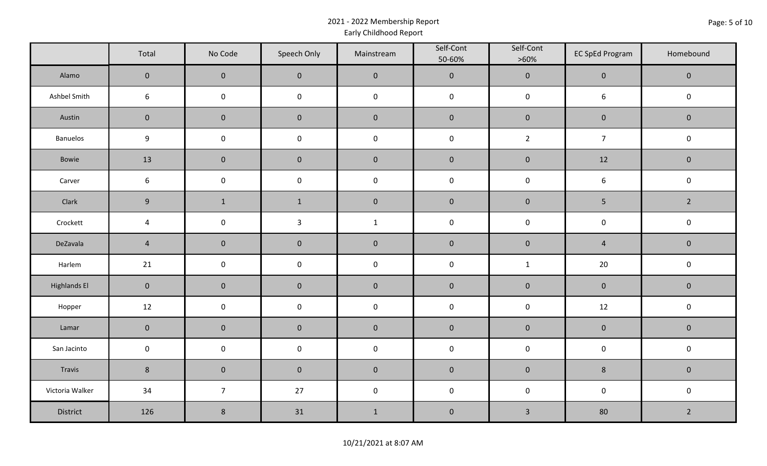# 2021 - 2022 Membership Report Early Childhood Report

|                     | Total            | No Code             | Speech Only  | Mainstream          | Self-Cont<br>50-60% | Self-Cont<br>$>60\%$ | <b>EC SpEd Program</b> | Homebound      |
|---------------------|------------------|---------------------|--------------|---------------------|---------------------|----------------------|------------------------|----------------|
| Alamo               | $\overline{0}$   | $\overline{0}$      | $\mathbf{0}$ | $\mathbf 0$         | $\mathbf 0$         | $\mathbf 0$          | $\mathbf 0$            | $\mathbf 0$    |
| Ashbel Smith        | 6                | $\mathsf{O}\xspace$ | $\mathbf 0$  | $\mathsf{O}\xspace$ | $\mathbf 0$         | $\mathbf 0$          | $\boldsymbol{6}$       | $\mathsf 0$    |
| Austin              | $\mathbf 0$      | $\mathbf 0$         | $\pmb{0}$    | $\pmb{0}$           | $\pmb{0}$           | $\pmb{0}$            | $\pmb{0}$              | $\mathbf 0$    |
| <b>Banuelos</b>     | $\boldsymbol{9}$ | $\pmb{0}$           | $\pmb{0}$    | $\pmb{0}$           | $\pmb{0}$           | $2^{\circ}$          | $\overline{7}$         | $\mathsf 0$    |
| Bowie               | 13               | $\mathbf 0$         | $\pmb{0}$    | $\pmb{0}$           | $\pmb{0}$           | $\pmb{0}$            | 12                     | $\pmb{0}$      |
| Carver              | $6\,$            | $\pmb{0}$           | $\pmb{0}$    | $\pmb{0}$           | $\mathbf 0$         | $\mathbf 0$          | $\boldsymbol{6}$       | $\mathbf 0$    |
| Clark               | $9\,$            | $\mathbf{1}$        | $\mathbf{1}$ | $\pmb{0}$           | $\mathbf 0$         | $\pmb{0}$            | 5                      | $\overline{2}$ |
| Crockett            | $\overline{a}$   | $\pmb{0}$           | $\mathsf{3}$ | $\mathbf{1}$        | $\pmb{0}$           | $\mathbf 0$          | $\mathbf 0$            | $\mathbf 0$    |
| DeZavala            | $\overline{4}$   | $\mathbf 0$         | $\pmb{0}$    | $\pmb{0}$           | $\pmb{0}$           | $\pmb{0}$            | $\sqrt{4}$             | $\mathbf 0$    |
| Harlem              | 21               | $\mathbf 0$         | $\mathbf 0$  | $\mathbf 0$         | $\mathbf 0$         | $\mathbf{1}$         | 20                     | $\mathsf 0$    |
| <b>Highlands El</b> | $\mathbf 0$      | $\mathbf 0$         | $\pmb{0}$    | $\pmb{0}$           | $\pmb{0}$           | $\pmb{0}$            | $\pmb{0}$              | $\mathbf 0$    |
| Hopper              | 12               | $\pmb{0}$           | $\pmb{0}$    | $\pmb{0}$           | $\pmb{0}$           | $\mathbf 0$          | $12\,$                 | $\mathbf 0$    |
| Lamar               | $\mathbf 0$      | $\mathbf 0$         | $\pmb{0}$    | $\pmb{0}$           | $\pmb{0}$           | $\pmb{0}$            | $\mathbf 0$            | $\mathbf 0$    |
| San Jacinto         | $\mathbf 0$      | $\pmb{0}$           | $\pmb{0}$    | $\pmb{0}$           | $\pmb{0}$           | $\mathbf 0$          | $\mathbf 0$            | $\mathbf 0$    |
| Travis              | $\bf 8$          | $\pmb{0}$           | $\pmb{0}$    | $\pmb{0}$           | $\pmb{0}$           | $\pmb{0}$            | $\,8\,$                | $\mathbf 0$    |
| Victoria Walker     | 34               | $\overline{7}$      | 27           | $\pmb{0}$           | $\pmb{0}$           | $\mathbf 0$          | $\mathbf 0$            | $\mathbf 0$    |
| District            | 126              | $\,8\,$             | 31           | $\mathbf{1}$        | $\pmb{0}$           | $\overline{3}$       | 80                     | $\overline{2}$ |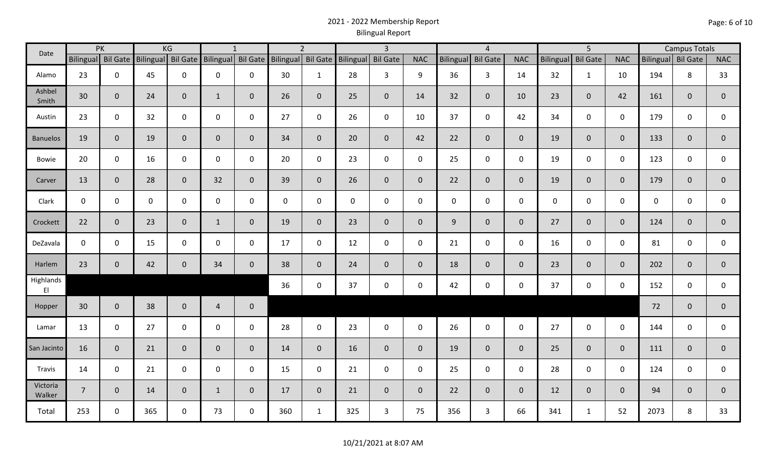# 2021 - 2022 Membership Report Bilingual Report

| Date               | KG<br>PK        |                    |             | $\mathbf{1}$       |                    | $\overline{2}$ |                    | $\overline{3}$ |                    | $\overline{4}$ |                |             | 5 <sup>5</sup>      |                |                  | <b>Campus Totals</b> |                |                    |              |                |
|--------------------|-----------------|--------------------|-------------|--------------------|--------------------|----------------|--------------------|----------------|--------------------|----------------|----------------|-------------|---------------------|----------------|------------------|----------------------|----------------|--------------------|--------------|----------------|
|                    |                 | Bilingual Bil Gate |             | Bilingual Bil Gate | Bilingual Bil Gate |                | Bilingual Bil Gate |                | Bilingual Bil Gate |                | <b>NAC</b>     | Bilingual   | <b>Bil Gate</b>     | <b>NAC</b>     | <b>Bilingual</b> | <b>Bil Gate</b>      | <b>NAC</b>     | Bilingual Bil Gate |              | <b>NAC</b>     |
| Alamo              | 23              | $\mathbf 0$        | 45          | $\mathbf 0$        | 0                  | 0              | 30                 | $\mathbf{1}$   | 28                 | 3              | 9              | 36          | $\mathbf{3}$        | 14             | 32               | $\mathbf{1}$         | 10             | 194                | 8            | 33             |
| Ashbel<br>Smith    | 30              | $\mathbf{0}$       | 24          | $\overline{0}$     | $\mathbf{1}$       | $\mathbf 0$    | 26                 | $\overline{0}$ | 25                 | $\mathbf 0$    | 14             | 32          | $\overline{0}$      | 10             | 23               | $\mathbf{0}$         | 42             | 161                | $\mathbf 0$  | $\mathbf 0$    |
| Austin             | 23              | $\mathbf 0$        | 32          | $\mathbf 0$        | $\mathbf 0$        | $\mathbf 0$    | 27                 | $\mathbf 0$    | 26                 | $\mathbf 0$    | 10             | 37          | $\mathbf 0$         | 42             | 34               | $\mathbf 0$          | $\mathbf 0$    | 179                | $\mathbf 0$  | 0              |
| <b>Banuelos</b>    | 19              | $\mathbf 0$        | 19          | $\mathbf 0$        | $\mathbf{0}$       | $\mathbf{0}$   | 34                 | $\overline{0}$ | 20                 | $\mathbf 0$    | 42             | 22          | $\overline{0}$      | $\overline{0}$ | 19               | $\mathbf{0}$         | $\mathbf{0}$   | 133                | $\mathbf{0}$ | $\mathbf 0$    |
| <b>Bowie</b>       | 20              | $\mathbf 0$        | 16          | $\mathbf 0$        | $\mathsf{O}$       | 0              | 20                 | $\mathbf 0$    | 23                 | $\mathbf 0$    | $\mathbf 0$    | 25          | $\mathsf{O}\xspace$ | $\mathbf 0$    | 19               | $\overline{0}$       | $\mathbf 0$    | 123                | $\mathbf 0$  | 0              |
| Carver             | 13              | $\mathbf{0}$       | 28          | $\mathbf 0$        | 32                 | $\mathbf{0}$   | 39                 | $\mathbf{0}$   | 26                 | $\mathbf 0$    | $\overline{0}$ | 22          | $\overline{0}$      | $\overline{0}$ | 19               | $\overline{0}$       | $\overline{0}$ | 179                | $\mathbf{0}$ | $\mathbf{0}$   |
| Clark              | $\mathbf 0$     | $\mathbf 0$        | $\mathbf 0$ | $\mathbf 0$        | 0                  | $\mathbf 0$    | $\mathbf 0$        | $\mathbf{0}$   | $\mathbf 0$        | $\mathbf 0$    | $\mathbf 0$    | $\mathbf 0$ | $\mathbf 0$         | $\mathbf 0$    | $\mathbf 0$      | $\mathbf 0$          | $\mathbf 0$    | $\mathbf 0$        | $\mathbf 0$  | 0              |
| Crockett           | 22              | $\mathbf 0$        | 23          | $\mathbf 0$        | $\mathbf{1}$       | $\mathbf{0}$   | 19                 | $\overline{0}$ | 23                 | $\mathbf 0$    | $\mathbf{0}$   | 9           | $\mathbf 0$         | $\overline{0}$ | 27               | $\mathbf{0}$         | $\mathbf{0}$   | 124                | $\mathbf 0$  | $\mathbf 0$    |
| DeZavala           | $\mathbf 0$     | $\mathbf 0$        | 15          | $\mathsf 0$        | 0                  | $\mathbf 0$    | 17                 | $\mathbf 0$    | 12                 | $\mathsf 0$    | $\mathsf 0$    | 21          | $\mathbf 0$         | $\mathbf 0$    | 16               | $\mathbf 0$          | $\mathbf 0$    | 81                 | $\mathbf 0$  | 0              |
| Harlem             | 23              | $\mathbf{0}$       | 42          | $\mathbf 0$        | 34                 | $\mathbf 0$    | 38                 | $\overline{0}$ | 24                 | $\mathbf 0$    | $\overline{0}$ | 18          | $\overline{0}$      | $\mathbf 0$    | 23               | $\mathbf{0}$         | $\overline{0}$ | 202                | $\mathbf{0}$ | $\overline{0}$ |
| Highlands<br>E1    |                 |                    |             |                    |                    |                | 36                 | $\mathbf 0$    | 37                 | $\mathbf 0$    | $\mathbf 0$    | 42          | $\mathbf 0$         | $\mathbf 0$    | 37               | $\mathbf 0$          | $\mathbf 0$    | 152                | $\mathbf 0$  | 0              |
| Hopper             | 30 <sup>°</sup> | $\mathbf{0}$       | 38          | $\overline{0}$     | $\overline{4}$     | $\mathbf 0$    |                    |                |                    |                |                |             |                     |                |                  |                      |                | 72                 | $\mathbf 0$  | $\pmb{0}$      |
| Lamar              | 13              | $\mathbf 0$        | 27          | $\mathbf 0$        | $\mathbf 0$        | $\mathbf 0$    | 28                 | $\mathbf{0}$   | 23                 | $\mathbf 0$    | $\mathbf 0$    | 26          | $\mathbf 0$         | $\mathbf 0$    | 27               | $\mathbf 0$          | $\mathbf 0$    | 144                | $\mathbf 0$  | 0              |
| San Jacinto        | 16              | $\mathbf 0$        | 21          | $\overline{0}$     | $\mathbf{0}$       | $\mathbf 0$    | 14                 | $\overline{0}$ | 16                 | $\overline{0}$ | $\mathbf{0}$   | 19          | $\overline{0}$      | $\overline{0}$ | 25               | $\overline{0}$       | $\overline{0}$ | 111                | $\mathbf{0}$ | $\mathbf 0$    |
| Travis             | 14              | $\mathbf 0$        | 21          | $\mathsf 0$        | $\mathbf 0$        | $\mathbf 0$    | 15                 | $\mathbf 0$    | 21                 | $\mathbf 0$    | $\mathbf 0$    | 25          | $\mathbf 0$         | $\mathbf 0$    | 28               | $\mathbf 0$          | $\mathbf 0$    | 124                | $\mathbf 0$  | 0              |
| Victoria<br>Walker | $\overline{7}$  | $\mathbf{0}$       | 14          | $\mathbf{0}$       | $\mathbf{1}$       | $\mathbf 0$    | 17                 | $\overline{0}$ | 21                 | $\mathbf 0$    | $\mathbf{0}$   | 22          | $\overline{0}$      | $\overline{0}$ | 12               | $\Omega$             | $\overline{0}$ | 94                 | $\mathbf{0}$ | $\mathbf{0}$   |
| Total              | 253             | $\mathbf 0$        | 365         | $\mathbf 0$        | 73                 | $\mathbf 0$    | 360                | $\mathbf{1}$   | 325                | $\mathbf{3}$   | 75             | 356         | $\overline{3}$      | 66             | 341              | $\mathbf{1}$         | 52             | 2073               | 8            | 33             |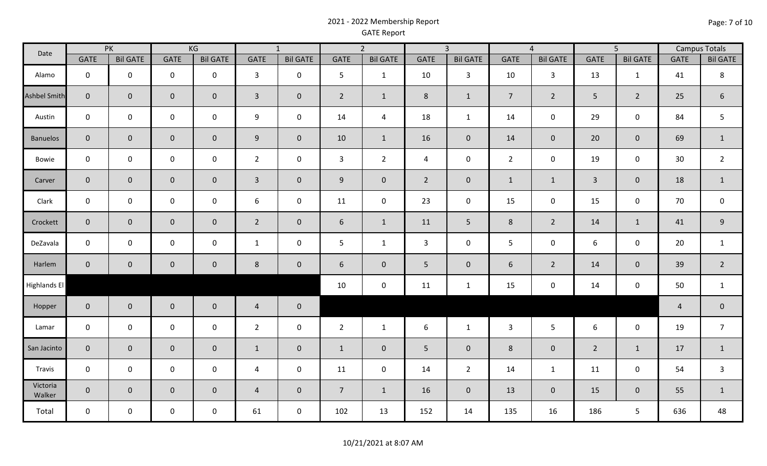# 2021 - 2022 Membership Report GATE Report

| Date                |                     | PK              |                     | KG<br>$\overline{1}$ |                | $\overline{3}$<br>$\overline{2}$ |                 |                     |                | $\overline{4}$  | $\overline{5}$ |                 | <b>Campus Totals</b> |                     |                |                 |
|---------------------|---------------------|-----------------|---------------------|----------------------|----------------|----------------------------------|-----------------|---------------------|----------------|-----------------|----------------|-----------------|----------------------|---------------------|----------------|-----------------|
|                     | <b>GATE</b>         | <b>Bil GATE</b> | <b>GATE</b>         | <b>Bil GATE</b>      | <b>GATE</b>    | <b>Bil GATE</b>                  | <b>GATE</b>     | <b>Bil GATE</b>     | <b>GATE</b>    | <b>Bil GATE</b> | <b>GATE</b>    | <b>Bil GATE</b> | <b>GATE</b>          | <b>Bil GATE</b>     | <b>GATE</b>    | <b>Bil GATE</b> |
| Alamo               | $\mathbf 0$         | $\mathbf 0$     | $\mathsf 0$         | $\mathbf 0$          | $\overline{3}$ | $\mathsf 0$                      | 5               | $\mathbf{1}$        | 10             | $\mathbf{3}$    | 10             | $\overline{3}$  | 13                   | $\mathbf 1$         | 41             | $\,8\,$         |
| <b>Ashbel Smith</b> | $\mathbf 0$         | $\mathbf 0$     | $\mathsf{O}\xspace$ | $\overline{0}$       | $\mathbf{3}$   | $\mathbf 0$                      | $\overline{2}$  | $\mathbf{1}$        | 8              | $\mathbf{1}$    | $\overline{7}$ | $2^{\circ}$     | 5 <sup>1</sup>       | $\overline{2}$      | 25             | $6\phantom{.}6$ |
| Austin              | $\mathbf 0$         | $\mathbf 0$     | $\mathbf 0$         | $\mathbf 0$          | 9              | $\mathbf 0$                      | 14              | $\overline{4}$      | 18             | $\mathbf{1}$    | 14             | $\mathbf 0$     | 29                   | $\mathsf{O}\xspace$ | 84             | $5\phantom{.0}$ |
| Banuelos            | $\mathbf 0$         | $\mathbf 0$     | $\overline{0}$      | $\mathbf 0$          | 9              | $\mathbf 0$                      | 10              | $\mathbf{1}$        | 16             | $\overline{0}$  | 14             | $\overline{0}$  | 20                   | $\mathbf 0$         | 69             | $\mathbf{1}$    |
| Bowie               | $\mathbf 0$         | $\mathbf 0$     | $\mathsf{O}\xspace$ | $\mathbf 0$          | $\overline{2}$ | $\mathbf 0$                      | $\mathbf{3}$    | $2^{\circ}$         | $\overline{4}$ | $\mathbf 0$     | $\overline{2}$ | $\mathbf 0$     | 19                   | $\mathsf 0$         | 30             | $\overline{2}$  |
| Carver              | $\mathbf 0$         | $\mathbf 0$     | $\overline{0}$      | $\mathbf 0$          | $\overline{3}$ | $\mathbf 0$                      | 9               | $\mathbf 0$         | $\overline{2}$ | $\mathbf 0$     | $\mathbf{1}$   | $\mathbf{1}$    | $\overline{3}$       | $\mathbf 0$         | 18             | $\mathbf{1}$    |
| Clark               | $\mathbf 0$         | $\mathsf{O}$    | $\mathsf{O}$        | $\mathsf{O}$         | 6              | $\mathbf 0$                      | 11              | $\mathbf 0$         | 23             | $\mathbf 0$     | 15             | $\mathbf 0$     | 15                   | $\pmb{0}$           | 70             | $\mathbf 0$     |
| Crockett            | $\mathbf 0$         | $\mathbf 0$     | $\mathbf 0$         | $\mathbf 0$          | $\overline{2}$ | $\pmb{0}$                        | 6               | $\mathbf{1}$        | 11             | 5 <sub>5</sub>  | $8\phantom{1}$ | $2^{\circ}$     | 14                   | $1\,$               | 41             | $9\,$           |
| DeZavala            | $\mathbf 0$         | $\mathbf 0$     | $\mathsf{O}$        | $\mathbf 0$          | $\mathbf{1}$   | $\mathsf 0$                      | 5               | $\mathbf{1}$        | $\mathsf{3}$   | $\mathbf 0$     | 5              | $\mathbf 0$     | 6                    | $\mathsf 0$         | 20             | $\mathbf{1}$    |
| Harlem              | $\mathbf 0$         | $\mathbf 0$     | $\mathbf 0$         | $\pmb{0}$            | $8\phantom{1}$ | $\pmb{0}$                        | 6               | $\mathbf{0}$        | 5              | $\mathbf 0$     | 6              | $\overline{2}$  | 14                   | $\pmb{0}$           | 39             | $\overline{2}$  |
| <b>Highlands El</b> |                     |                 |                     |                      |                |                                  | 10              | $\mathsf{O}\xspace$ | 11             | $\mathbf{1}$    | 15             | $\mathbf 0$     | 14                   | $\mathbf 0$         | 50             | $\mathbf{1}$    |
| Hopper              | $\mathbf 0$         | $\mathbf{0}$    | $\mathbf 0$         | $\mathbf 0$          | $\overline{4}$ | $\pmb{0}$                        |                 |                     |                |                 |                |                 |                      |                     | $\overline{4}$ | $\mathbf 0$     |
| Lamar               | $\mathsf 0$         | $\mathsf{O}$    | $\mathbf 0$         | $\mathbf 0$          | $\overline{2}$ | $\mathsf 0$                      | $\overline{2}$  | $\mathbf{1}$        | 6              | $\mathbf{1}$    | $\mathbf{3}$   | 5 <sup>5</sup>  | 6                    | $\mathsf 0$         | 19             | $\overline{7}$  |
| San Jacinto         | $\mathbf 0$         | $\mathbf 0$     | $\mathbf{0}$        | $\mathsf{O}\xspace$  | $\mathbf{1}$   | $\pmb{0}$                        | $\mathbf{1}$    | $\mathbf{0}$        | 5              | $\mathbf 0$     | $8\phantom{1}$ | $\overline{0}$  | $2^{\circ}$          | $\mathbf 1$         | 17             | $\mathbf{1}$    |
| Travis              | $\mathsf{O}\xspace$ | $\mathsf{O}$    | $\mathbf 0$         | $\mathbf 0$          | $\overline{4}$ | $\mathbf 0$                      | 11              | $\pmb{0}$           | 14             | $\overline{2}$  | 14             | $\mathbf{1}$    | 11                   | $\mathsf 0$         | 54             | $\mathbf{3}$    |
| Victoria<br>Walker  | $\overline{0}$      | $\mathbf 0$     | $\overline{0}$      | $\mathbf 0$          | $\overline{4}$ | $\mathbf 0$                      | $7\overline{ }$ | $\mathbf{1}$        | 16             | $\overline{0}$  | 13             | $\overline{0}$  | 15                   | $\mathbf 0$         | 55             | $\mathbf{1}$    |
| Total               | $\mathbf 0$         | 0               | $\mathbf 0$         | $\mathbf 0$          | 61             | $\mathbf 0$                      | 102             | 13                  | 152            | 14              | 135            | 16              | 186                  | 5                   | 636            | 48              |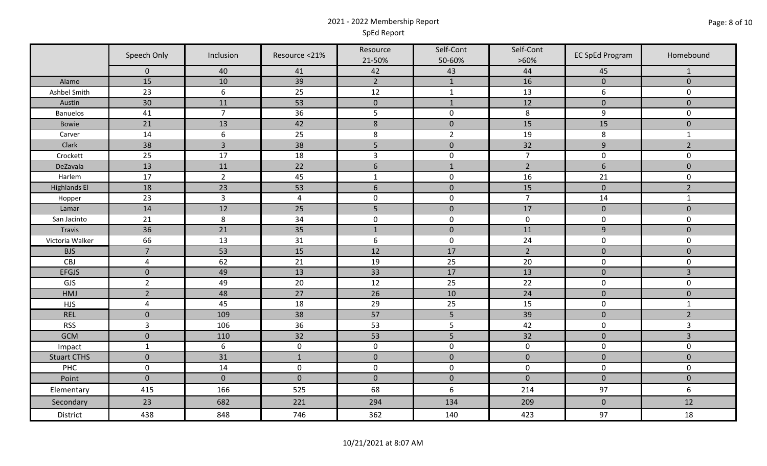# 2021 - 2022 Membership Report SpEd Report

|                     | Speech Only<br>Inclusion |                  | Resource <21%   | Resource<br>21-50% | Self-Cont<br>50-60% | Self-Cont<br>$>60\%$ | <b>EC SpEd Program</b> | Homebound           |
|---------------------|--------------------------|------------------|-----------------|--------------------|---------------------|----------------------|------------------------|---------------------|
|                     | $\mathbf 0$              | 40               | 41              | 42                 | 43                  | 44                   | 45                     | 1                   |
| Alamo               | 15                       | 10               | 39              | $\overline{2}$     | $1\,$               | 16                   | $\pmb{0}$              | $\mathbf 0$         |
| Ashbel Smith        | 23                       | 6                | 25              | 12                 | $\mathbf{1}$        | 13                   | 6                      | $\mathsf{O}$        |
| Austin              | 30                       | 11               | 53              | $\mathbf 0$        | $\mathbf{1}$        | 12                   | $\mathbf 0$            | $\mathbf 0$         |
| <b>Banuelos</b>     | 41                       | $\overline{7}$   | 36              | 5                  | $\pmb{0}$           | 8                    | $\boldsymbol{9}$       | $\mathbf 0$         |
| Bowie               | 21                       | 13               | 42              | $\,$ 8 $\,$        | $\pmb{0}$           | 15                   | 15                     | $\pmb{0}$           |
| Carver              | 14                       | $6\,$            | 25              | $\,8\,$            | $\overline{2}$      | 19                   | 8                      | $\mathbf{1}$        |
| Clark               | 38                       | $\overline{3}$   | 38              | 5                  | $\pmb{0}$           | 32                   | $\overline{9}$         | $\overline{2}$      |
| Crockett            | 25                       | 17               | 18              | $\overline{3}$     | $\pmb{0}$           | $\overline{7}$       | $\mathbf 0$            | $\mathbf 0$         |
| DeZavala            | 13                       | 11               | 22              | $\sqrt{6}$         | $1\,$               | $\overline{2}$       | $6\,$                  | $\pmb{0}$           |
| Harlem              | 17                       | $\overline{2}$   | 45              | $\mathbf{1}$       | $\pmb{0}$           | 16                   | 21                     | $\mathsf{O}\xspace$ |
| <b>Highlands El</b> | 18                       | 23               | 53              | $\sqrt{6}$         | $\pmb{0}$           | 15                   | $\pmb{0}$              | $\overline{2}$      |
| Hopper              | 23                       | $\overline{3}$   | $\overline{4}$  | $\pmb{0}$          | $\pmb{0}$           | $\overline{7}$       | 14                     | $\mathbf{1}$        |
| Lamar               | 14                       | 12               | 25              | $\overline{5}$     | $\pmb{0}$           | 17                   | $\pmb{0}$              | $\overline{0}$      |
| San Jacinto         | 21                       | $\,8\,$          | 34              | $\mathbf 0$        | $\pmb{0}$           | $\mathbf 0$          | $\mathbf 0$            | 0                   |
| <b>Travis</b>       | 36                       | 21               | 35              | $\mathbf 1$        | $\pmb{0}$           | 11                   | $\overline{9}$         | $\pmb{0}$           |
| Victoria Walker     | 66                       | 13               | 31              | $\boldsymbol{6}$   | $\pmb{0}$           | 24                   | $\pmb{0}$              | $\pmb{0}$           |
| <b>BJS</b>          | $\overline{7}$           | 53               | 15              | 12                 | 17                  | $\overline{2}$       | $\mathbf 0$            | $\mathbf 0$         |
| CBJ                 | $\overline{4}$           | 62               | 21              | 19                 | 25                  | 20                   | $\mathbf 0$            | $\pmb{0}$           |
| <b>EFGJS</b>        | $\mathbf 0$              | 49               | $\overline{13}$ | 33                 | 17                  | 13                   | $\pmb{0}$              | $\overline{3}$      |
| GJS                 | $\overline{2}$           | 49               | 20              | 12                 | 25                  | 22                   | $\pmb{0}$              | $\mathbf 0$         |
| HMJ                 | $\overline{2}$           | 48               | 27              | 26                 | 10                  | 24                   | $\pmb{0}$              | $\pmb{0}$           |
| <b>HJS</b>          | $\overline{4}$           | 45               | 18              | 29                 | 25                  | 15                   | $\mathbf 0$            | $\mathbf 1$         |
| <b>REL</b>          | $\mathbf 0$              | 109              | 38              | 57                 | 5                   | 39                   | $\pmb{0}$              | $\overline{2}$      |
| <b>RSS</b>          | $\overline{3}$           | 106              | 36              | 53                 | 5                   | 42                   | $\mathbf 0$            | 3                   |
| <b>GCM</b>          | $\mathbf 0$              | 110              | 32              | 53                 | 5                   | 32                   | $\pmb{0}$              | $\overline{3}$      |
| Impact              | $\mathbf{1}$             | $\boldsymbol{6}$ | $\pmb{0}$       | $\mathbf 0$        | $\pmb{0}$           | $\mathbf 0$          | $\mathbf 0$            | $\mathsf{O}$        |
| <b>Stuart CTHS</b>  | $\mathbf 0$              | 31               | $1\,$           | $\mathbf 0$        | $\mathbf 0$         | $\mathbf 0$          | $\mathbf 0$            | $\mathbf 0$         |
| PHC                 | $\mathsf 0$              | 14               | $\mathbf 0$     | $\pmb{0}$          | $\pmb{0}$           | $\mathsf 0$          | $\mathbf 0$            | $\mathbf 0$         |
| Point               | $\mathbf{0}$             | $\mathbf{0}$     | $\mathbf{0}$    | $\mathbf 0$        | $\mathbf 0$         | $\mathbf 0$          | $\mathbf 0$            | $\overline{0}$      |
| Elementary          | 415                      | 166              | 525             | 68                 | $\boldsymbol{6}$    | 214                  | 97                     | 6                   |
| Secondary           | 23                       | 682              | 221             | 294                | 134                 | 209                  | $\pmb{0}$              | 12                  |
| District            | 438                      | 848              | 746             | 362                | 140                 | 423                  | 97                     | 18                  |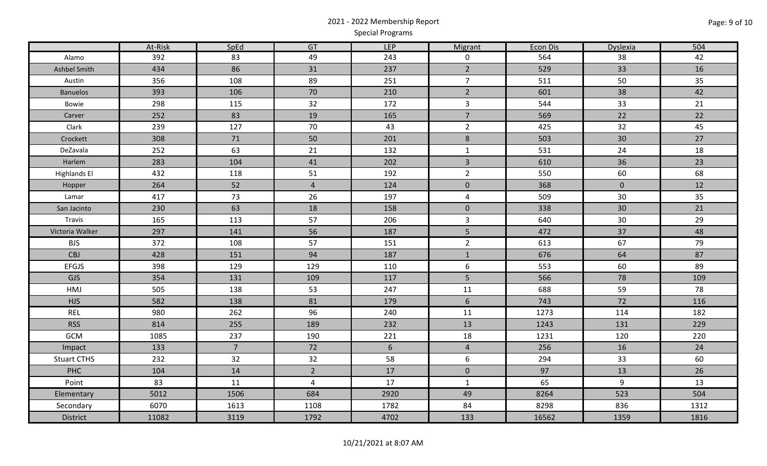# 2021 - 2022 Membership Report Special Programs

|                     | At-Risk | SpEd           | GT             | <b>LEP</b> | Migrant             | Econ Dis | Dyslexia       | 504  |
|---------------------|---------|----------------|----------------|------------|---------------------|----------|----------------|------|
| Alamo               | 392     | 83             | 49             | 243        | $\mathbf 0$         | 564      | 38             | 42   |
| Ashbel Smith        | 434     | 86             | 31             | 237        | $2\overline{ }$     | 529      | 33             | 16   |
| Austin              | 356     | 108            | 89             | 251        | $\overline{7}$      | 511      | 50             | 35   |
| <b>Banuelos</b>     | 393     | 106            | 70             | 210        | $2\overline{ }$     | 601      | 38             | 42   |
| Bowie               | 298     | 115            | 32             | 172        | $\mathbf{3}$        | 544      | 33             | 21   |
| Carver              | 252     | 83             | 19             | 165        | $\overline{7}$      | 569      | 22             | 22   |
| Clark               | 239     | 127            | 70             | 43         | $\overline{2}$      | 425      | 32             | 45   |
| Crockett            | 308     | 71             | 50             | 201        | $\,8\,$             | 503      | 30             | 27   |
| DeZavala            | 252     | 63             | 21             | 132        | $\mathbf{1}$        | 531      | 24             | 18   |
| Harlem              | 283     | 104            | 41             | 202        | $\overline{3}$      | 610      | 36             | 23   |
| <b>Highlands El</b> | 432     | 118            | 51             | 192        | $\overline{2}$      | 550      | 60             | 68   |
| Hopper              | 264     | 52             | $\overline{4}$ | 124        | $\mathbf 0$         | 368      | $\overline{0}$ | 12   |
| Lamar               | 417     | 73             | 26             | 197        | $\overline{4}$      | 509      | 30             | 35   |
| San Jacinto         | 230     | 63             | 18             | 158        | $\mathsf{O}\xspace$ | 338      | 30             | 21   |
| Travis              | 165     | 113            | 57             | 206        | $\mathbf{3}$        | 640      | 30             | 29   |
| Victoria Walker     | 297     | 141            | 56             | 187        | 5                   | 472      | 37             | 48   |
| <b>BJS</b>          | 372     | 108            | 57             | 151        | $\overline{2}$      | 613      | 67             | 79   |
| <b>CBJ</b>          | 428     | 151            | 94             | 187        | $\mathbf{1}$        | 676      | 64             | 87   |
| <b>EFGJS</b>        | 398     | 129            | 129            | 110        | 6                   | 553      | 60             | 89   |
| GJS                 | 354     | 131            | 109            | 117        | 5                   | 566      | 78             | 109  |
| HMJ                 | 505     | 138            | 53             | 247        | 11                  | 688      | 59             | 78   |
| <b>HJS</b>          | 582     | 138            | 81             | 179        | $6\overline{6}$     | 743      | 72             | 116  |
| <b>REL</b>          | 980     | 262            | 96             | 240        | 11                  | 1273     | 114            | 182  |
| <b>RSS</b>          | 814     | 255            | 189            | 232        | 13                  | 1243     | 131            | 229  |
| GCM                 | 1085    | 237            | 190            | 221        | 18                  | 1231     | 120            | 220  |
| Impact              | 133     | $\overline{7}$ | 72             | 6          | $\overline{4}$      | 256      | 16             | 24   |
| <b>Stuart CTHS</b>  | 232     | 32             | 32             | 58         | $6\phantom{.}6$     | 294      | 33             | 60   |
| <b>PHC</b>          | 104     | 14             | $\overline{2}$ | 17         | $\mathbf 0$         | 97       | 13             | 26   |
| Point               | 83      | 11             | $\overline{4}$ | 17         | $\mathbf{1}$        | 65       | 9              | 13   |
| Elementary          | 5012    | 1506           | 684            | 2920       | 49                  | 8264     | 523            | 504  |
| Secondary           | 6070    | 1613           | 1108           | 1782       | 84                  | 8298     | 836            | 1312 |
| <b>District</b>     | 11082   | 3119           | 1792           | 4702       | 133                 | 16562    | 1359           | 1816 |